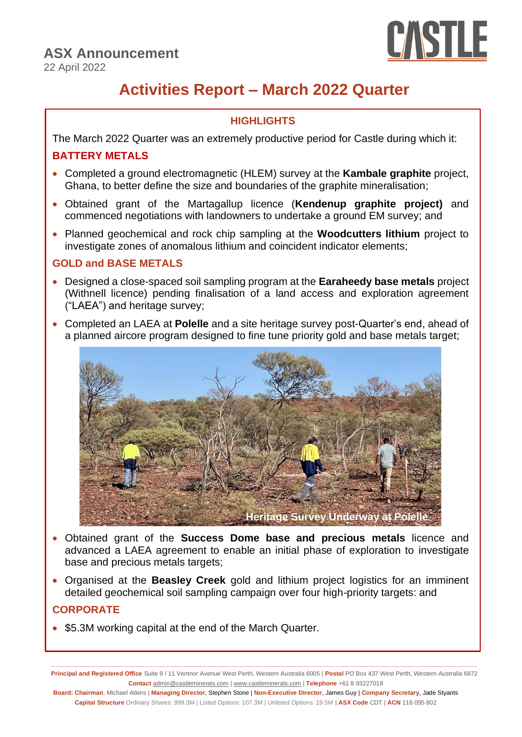

# **Activities Report – March 2022 Quarter**

## **HIGHLIGHTS**

The March 2022 Quarter was an extremely productive period for Castle during which it:

## **BATTERY METALS**

- Completed a ground electromagnetic (HLEM) survey at the **Kambale graphite** project, Ghana, to better define the size and boundaries of the graphite mineralisation;
- Obtained grant of the Martagallup licence (**Kendenup graphite project)** and commenced negotiations with landowners to undertake a ground EM survey; and
- Planned geochemical and rock chip sampling at the **Woodcutters lithium** project to investigate zones of anomalous lithium and coincident indicator elements;

## **GOLD and BASE METALS**

- Designed a close-spaced soil sampling program at the **Earaheedy base metals** project (Withnell licence) pending finalisation of a land access and exploration agreement ("LAEA") and heritage survey;
- Completed an LAEA at **Polelle** and a site heritage survey post-Quarter's end, ahead of a planned aircore program designed to fine tune priority gold and base metals target;



- Obtained grant of the **Success Dome base and precious metals** licence and advanced a LAEA agreement to enable an initial phase of exploration to investigate base and precious metals targets;
- Organised at the **Beasley Creek** gold and lithium project logistics for an imminent detailed geochemical soil sampling campaign over four high-priority targets: and

# **CORPORATE**

• \$5.3M working capital at the end of the March Quarter.

**\_\_\_\_\_\_\_\_\_\_\_\_\_\_\_\_\_\_\_\_\_\_\_\_\_\_\_\_\_\_\_\_\_\_\_\_\_\_\_\_\_\_\_\_\_\_\_\_\_\_\_\_\_\_\_\_\_\_\_\_\_\_\_\_\_\_\_\_\_\_\_\_\_\_\_\_\_\_\_\_\_\_\_\_\_\_\_\_\_\_\_\_\_\_\_\_\_\_\_\_\_\_\_\_\_\_\_\_\_\_\_\_\_\_\_\_\_\_\_\_\_\_\_\_\_ Principal and Registered Office** Suite 9 / 11 Ventnor Avenue West Perth, Western Australia 6005 | **Postal** PO Box 437 West Perth, Western Australia 6872 **Contact** [admin@castleminerals.com](mailto:admin@castleminerals.com) [| www.castleminerals.com](http://www.castleminerals.com/) | **Telephone** +61 8 93227018

**Board: Chairman**, Michael Atkins | **Managing Director**, Stephen Stone | **Non-Executive Director**, James Guy | **Company Secretary**, Jade Styants **Capital Structure** Ordinary Shares: 999.3M | Listed Options: 107.3M | Unlisted Options: 19.5M | **ASX Code** CDT | **ACN** 116 095 802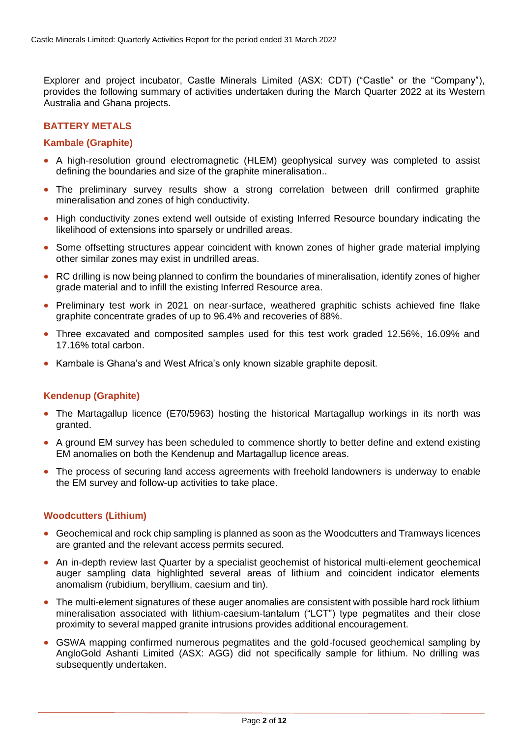Explorer and project incubator, Castle Minerals Limited (ASX: CDT) ("Castle" or the "Company"), provides the following summary of activities undertaken during the March Quarter 2022 at its Western Australia and Ghana projects.

### **BATTERY METALS**

#### **Kambale (Graphite)**

- A high-resolution ground electromagnetic (HLEM) geophysical survey was completed to assist defining the boundaries and size of the graphite mineralisation..
- The preliminary survey results show a strong correlation between drill confirmed graphite mineralisation and zones of high conductivity.
- High conductivity zones extend well outside of existing Inferred Resource boundary indicating the likelihood of extensions into sparsely or undrilled areas.
- Some offsetting structures appear coincident with known zones of higher grade material implying other similar zones may exist in undrilled areas.
- RC drilling is now being planned to confirm the boundaries of mineralisation, identify zones of higher grade material and to infill the existing Inferred Resource area.
- Preliminary test work in 2021 on near-surface, weathered graphitic schists achieved fine flake graphite concentrate grades of up to 96.4% and recoveries of 88%.
- Three excavated and composited samples used for this test work graded 12.56%, 16.09% and 17.16% total carbon.
- Kambale is Ghana's and West Africa's only known sizable graphite deposit.

#### **Kendenup (Graphite)**

- The Martagallup licence (E70/5963) hosting the historical Martagallup workings in its north was granted.
- A ground EM survey has been scheduled to commence shortly to better define and extend existing EM anomalies on both the Kendenup and Martagallup licence areas.
- The process of securing land access agreements with freehold landowners is underway to enable the EM survey and follow-up activities to take place.

#### **Woodcutters (Lithium)**

- Geochemical and rock chip sampling is planned as soon as the Woodcutters and Tramways licences are granted and the relevant access permits secured.
- An in-depth review last Quarter by a specialist geochemist of historical multi-element geochemical auger sampling data highlighted several areas of lithium and coincident indicator elements anomalism (rubidium, beryllium, caesium and tin).
- The multi-element signatures of these auger anomalies are consistent with possible hard rock lithium mineralisation associated with lithium-caesium-tantalum ("LCT") type pegmatites and their close proximity to several mapped granite intrusions provides additional encouragement.
- GSWA mapping confirmed numerous pegmatites and the gold-focused geochemical sampling by AngloGold Ashanti Limited (ASX: AGG) did not specifically sample for lithium. No drilling was subsequently undertaken.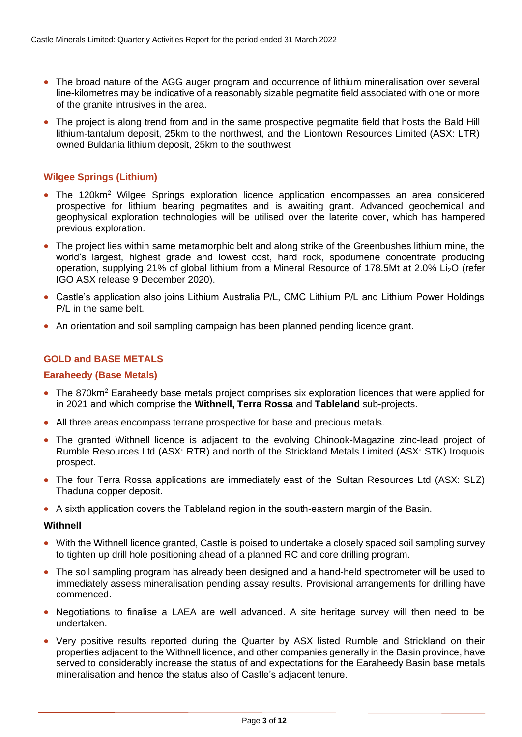- The broad nature of the AGG auger program and occurrence of lithium mineralisation over several line-kilometres may be indicative of a reasonably sizable pegmatite field associated with one or more of the granite intrusives in the area.
- The project is along trend from and in the same prospective pegmatite field that hosts the Bald Hill lithium-tantalum deposit, 25km to the northwest, and the Liontown Resources Limited (ASX: LTR) owned Buldania lithium deposit, 25km to the southwest

#### **Wilgee Springs (Lithium)**

- The 120km<sup>2</sup> Wilgee Springs exploration licence application encompasses an area considered prospective for lithium bearing pegmatites and is awaiting grant. Advanced geochemical and geophysical exploration technologies will be utilised over the laterite cover, which has hampered previous exploration.
- The project lies within same metamorphic belt and along strike of the Greenbushes lithium mine, the world's largest, highest grade and lowest cost, hard rock, spodumene concentrate producing operation, supplying 21% of global lithium from a Mineral Resource of 178.5Mt at 2.0% Li<sub>2</sub>O (refer IGO ASX release 9 December 2020).
- Castle's application also joins Lithium Australia P/L, CMC Lithium P/L and Lithium Power Holdings P/L in the same belt.
- An orientation and soil sampling campaign has been planned pending licence grant.

#### **GOLD and BASE METALS**

#### **Earaheedy (Base Metals)**

- The 870km<sup>2</sup> Earaheedy base metals project comprises six exploration licences that were applied for in 2021 and which comprise the **Withnell, Terra Rossa** and **Tableland** sub-projects.
- All three areas encompass terrane prospective for base and precious metals.
- The granted Withnell licence is adjacent to the evolving Chinook-Magazine zinc-lead project of Rumble Resources Ltd (ASX: RTR) and north of the Strickland Metals Limited (ASX: STK) Iroquois prospect.
- The four Terra Rossa applications are immediately east of the Sultan Resources Ltd (ASX: SLZ) Thaduna copper deposit.
- A sixth application covers the Tableland region in the south-eastern margin of the Basin.

#### **Withnell**

- With the Withnell licence granted, Castle is poised to undertake a closely spaced soil sampling survey to tighten up drill hole positioning ahead of a planned RC and core drilling program.
- The soil sampling program has already been designed and a hand-held spectrometer will be used to immediately assess mineralisation pending assay results. Provisional arrangements for drilling have commenced.
- Negotiations to finalise a LAEA are well advanced. A site heritage survey will then need to be undertaken.
- Very positive results reported during the Quarter by ASX listed Rumble and Strickland on their properties adjacent to the Withnell licence, and other companies generally in the Basin province, have served to considerably increase the status of and expectations for the Earaheedy Basin base metals mineralisation and hence the status also of Castle's adjacent tenure.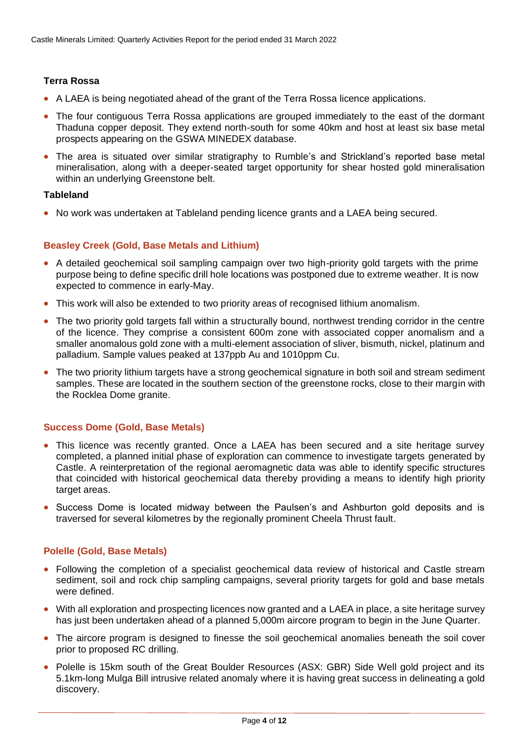### **Terra Rossa**

- A LAEA is being negotiated ahead of the grant of the Terra Rossa licence applications.
- The four contiguous Terra Rossa applications are grouped immediately to the east of the dormant Thaduna copper deposit. They extend north-south for some 40km and host at least six base metal prospects appearing on the GSWA MINEDEX database.
- The area is situated over similar stratigraphy to Rumble's and Strickland's reported base metal mineralisation, along with a deeper-seated target opportunity for shear hosted gold mineralisation within an underlying Greenstone belt.

#### **Tableland**

• No work was undertaken at Tableland pending licence grants and a LAEA being secured.

#### **Beasley Creek (Gold, Base Metals and Lithium)**

- A detailed geochemical soil sampling campaign over two high-priority gold targets with the prime purpose being to define specific drill hole locations was postponed due to extreme weather. It is now expected to commence in early-May.
- This work will also be extended to two priority areas of recognised lithium anomalism.
- The two priority gold targets fall within a structurally bound, northwest trending corridor in the centre of the licence. They comprise a consistent 600m zone with associated copper anomalism and a smaller anomalous gold zone with a multi-element association of sliver, bismuth, nickel, platinum and palladium. Sample values peaked at 137ppb Au and 1010ppm Cu.
- The two priority lithium targets have a strong geochemical signature in both soil and stream sediment samples. These are located in the southern section of the greenstone rocks, close to their margin with the Rocklea Dome granite.

#### **Success Dome (Gold, Base Metals)**

- This licence was recently granted. Once a LAEA has been secured and a site heritage survey completed, a planned initial phase of exploration can commence to investigate targets generated by Castle. A reinterpretation of the regional aeromagnetic data was able to identify specific structures that coincided with historical geochemical data thereby providing a means to identify high priority target areas.
- Success Dome is located midway between the Paulsen's and Ashburton gold deposits and is traversed for several kilometres by the regionally prominent Cheela Thrust fault.

#### **Polelle (Gold, Base Metals)**

- Following the completion of a specialist geochemical data review of historical and Castle stream sediment, soil and rock chip sampling campaigns, several priority targets for gold and base metals were defined.
- With all exploration and prospecting licences now granted and a LAEA in place, a site heritage survey has just been undertaken ahead of a planned 5,000m aircore program to begin in the June Quarter.
- The aircore program is designed to finesse the soil geochemical anomalies beneath the soil cover prior to proposed RC drilling.
- Polelle is 15km south of the Great Boulder Resources (ASX: GBR) Side Well gold project and its 5.1km-long Mulga Bill intrusive related anomaly where it is having great success in delineating a gold discovery.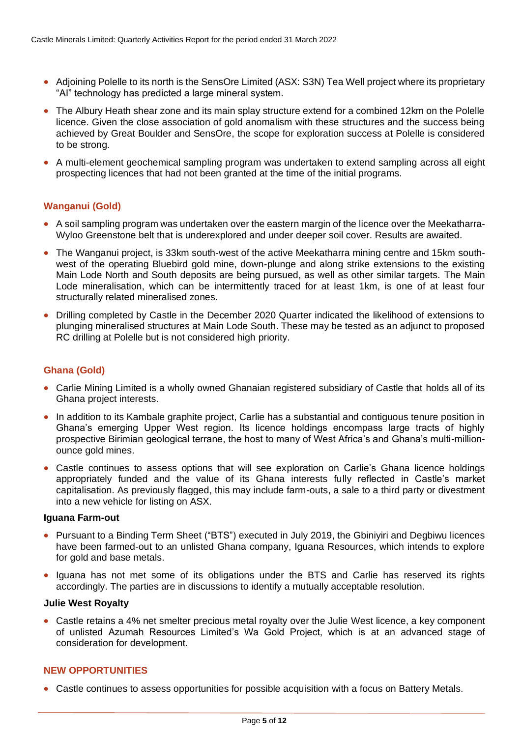- Adjoining Polelle to its north is the SensOre Limited (ASX: S3N) Tea Well project where its proprietary "AI" technology has predicted a large mineral system.
- The Albury Heath shear zone and its main splay structure extend for a combined 12km on the Polelle licence. Given the close association of gold anomalism with these structures and the success being achieved by Great Boulder and SensOre, the scope for exploration success at Polelle is considered to be strong.
- A multi-element geochemical sampling program was undertaken to extend sampling across all eight prospecting licences that had not been granted at the time of the initial programs.

#### **Wanganui (Gold)**

- A soil sampling program was undertaken over the eastern margin of the licence over the Meekatharra-Wyloo Greenstone belt that is underexplored and under deeper soil cover. Results are awaited.
- The Wanganui project, is 33km south-west of the active Meekatharra mining centre and 15km southwest of the operating Bluebird gold mine, down-plunge and along strike extensions to the existing Main Lode North and South deposits are being pursued, as well as other similar targets. The Main Lode mineralisation, which can be intermittently traced for at least 1km, is one of at least four structurally related mineralised zones.
- Drilling completed by Castle in the December 2020 Quarter indicated the likelihood of extensions to plunging mineralised structures at Main Lode South. These may be tested as an adjunct to proposed RC drilling at Polelle but is not considered high priority.

#### **Ghana (Gold)**

- Carlie Mining Limited is a wholly owned Ghanaian registered subsidiary of Castle that holds all of its Ghana project interests.
- In addition to its Kambale graphite project, Carlie has a substantial and contiguous tenure position in Ghana's emerging Upper West region. Its licence holdings encompass large tracts of highly prospective Birimian geological terrane, the host to many of West Africa's and Ghana's multi-millionounce gold mines.
- Castle continues to assess options that will see exploration on Carlie's Ghana licence holdings appropriately funded and the value of its Ghana interests fully reflected in Castle's market capitalisation. As previously flagged, this may include farm-outs, a sale to a third party or divestment into a new vehicle for listing on ASX.

#### **Iguana Farm-out**

- Pursuant to a Binding Term Sheet ("BTS") executed in July 2019, the Gbiniyiri and Degbiwu licences have been farmed-out to an unlisted Ghana company, Iguana Resources, which intends to explore for gold and base metals.
- Iguana has not met some of its obligations under the BTS and Carlie has reserved its rights accordingly. The parties are in discussions to identify a mutually acceptable resolution.

#### **Julie West Royalty**

• Castle retains a 4% net smelter precious metal royalty over the Julie West licence, a key component of unlisted Azumah Resources Limited's Wa Gold Project, which is at an advanced stage of consideration for development.

#### **NEW OPPORTUNITIES**

• Castle continues to assess opportunities for possible acquisition with a focus on Battery Metals.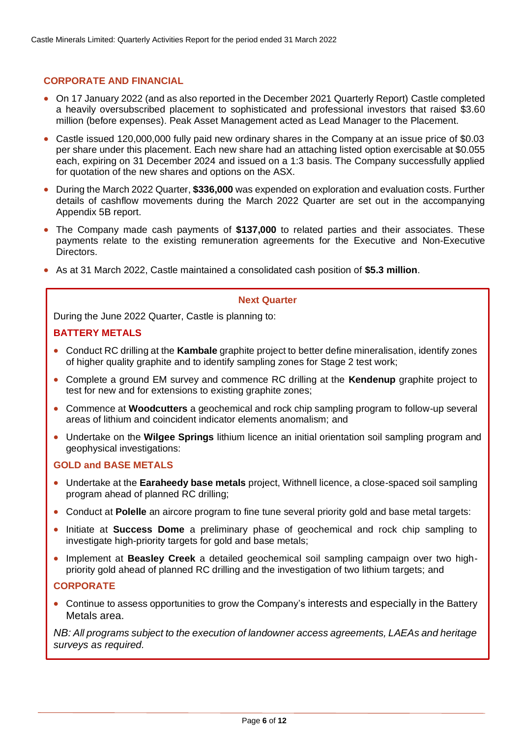### **CORPORATE AND FINANCIAL**

- On 17 January 2022 (and as also reported in the December 2021 Quarterly Report) Castle completed a heavily oversubscribed placement to sophisticated and professional investors that raised \$3.60 million (before expenses). Peak Asset Management acted as Lead Manager to the Placement.
- Castle issued 120,000,000 fully paid new ordinary shares in the Company at an issue price of \$0.03 per share under this placement. Each new share had an attaching listed option exercisable at \$0.055 each, expiring on 31 December 2024 and issued on a 1:3 basis. The Company successfully applied for quotation of the new shares and options on the ASX.
- During the March 2022 Quarter, **\$336,000** was expended on exploration and evaluation costs. Further details of cashflow movements during the March 2022 Quarter are set out in the accompanying Appendix 5B report.
- The Company made cash payments of **\$137,000** to related parties and their associates. These payments relate to the existing remuneration agreements for the Executive and Non-Executive Directors.
- As at 31 March 2022, Castle maintained a consolidated cash position of **\$5.3 million**.

#### **Next Quarter**

During the June 2022 Quarter, Castle is planning to:

#### **BATTERY METALS**

- Conduct RC drilling at the **Kambale** graphite project to better define mineralisation, identify zones of higher quality graphite and to identify sampling zones for Stage 2 test work;
- Complete a ground EM survey and commence RC drilling at the **Kendenup** graphite project to test for new and for extensions to existing graphite zones;
- Commence at **Woodcutters** a geochemical and rock chip sampling program to follow-up several areas of lithium and coincident indicator elements anomalism; and
- Undertake on the **Wilgee Springs** lithium licence an initial orientation soil sampling program and geophysical investigations:

#### **GOLD and BASE METALS**

- Undertake at the **Earaheedy base metals** project, Withnell licence, a close-spaced soil sampling program ahead of planned RC drilling;
- Conduct at **Polelle** an aircore program to fine tune several priority gold and base metal targets:
- Initiate at **Success Dome** a preliminary phase of geochemical and rock chip sampling to investigate high-priority targets for gold and base metals;
- Implement at **Beasley Creek** a detailed geochemical soil sampling campaign over two highpriority gold ahead of planned RC drilling and the investigation of two lithium targets; and

#### **CORPORATE**

• Continue to assess opportunities to grow the Company's interests and especially in the Battery Metals area.

*NB: All programs subject to the execution of landowner access agreements, LAEAs and heritage surveys as required.*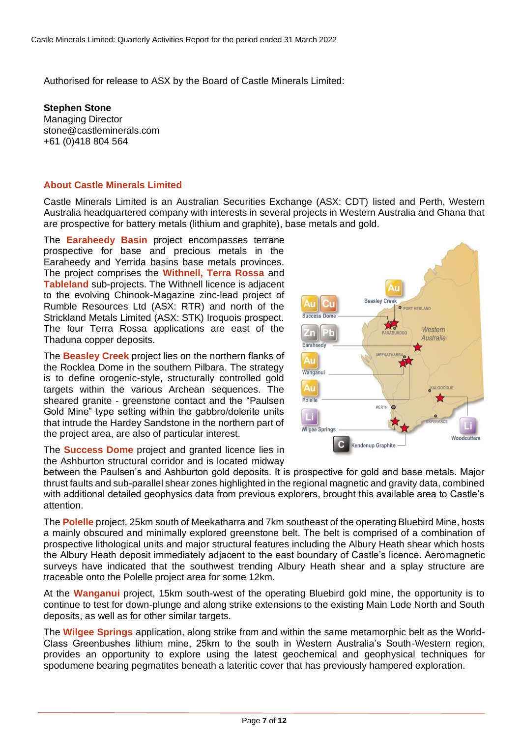Authorised for release to ASX by the Board of Castle Minerals Limited:

**Stephen Stone** Managing Director [stone@castleminerals.com](mailto:stone@castleminerals.com) +61 (0)418 804 564

#### **About Castle Minerals Limited**

Castle Minerals Limited is an Australian Securities Exchange (ASX: CDT) listed and Perth, Western Australia headquartered company with interests in several projects in Western Australia and Ghana that are prospective for battery metals (lithium and graphite), base metals and gold.

The **Earaheedy Basin** project encompasses terrane prospective for base and precious metals in the Earaheedy and Yerrida basins base metals provinces. The project comprises the **Withnell, Terra Rossa** and **Tableland** sub-projects. The Withnell licence is adjacent to the evolving Chinook-Magazine zinc-lead project of Rumble Resources Ltd (ASX: RTR) and north of the Strickland Metals Limited (ASX: STK) Iroquois prospect. The four Terra Rossa applications are east of the Thaduna copper deposits.

The **Beasley Creek** project lies on the northern flanks of the Rocklea Dome in the southern Pilbara. The strategy is to define orogenic-style, structurally controlled gold targets within the various Archean sequences. The sheared granite - greenstone contact and the "Paulsen Gold Mine" type setting within the gabbro/dolerite units that intrude the Hardey Sandstone in the northern part of the project area, are also of particular interest.



between the Paulsen's and Ashburton gold deposits. It is prospective for gold and base metals. Major thrust faults and sub-parallel shear zones highlighted in the regional magnetic and gravity data, combined with additional detailed geophysics data from previous explorers, brought this available area to Castle's attention.

The **Polelle** project, 25km south of Meekatharra and 7km southeast of the operating Bluebird Mine, hosts a mainly obscured and minimally explored greenstone belt. The belt is comprised of a combination of prospective lithological units and major structural features including the Albury Heath shear which hosts the Albury Heath deposit immediately adjacent to the east boundary of Castle's licence. Aeromagnetic surveys have indicated that the southwest trending Albury Heath shear and a splay structure are traceable onto the Polelle project area for some 12km.

At the **Wanganui** project, 15km south-west of the operating Bluebird gold mine, the opportunity is to continue to test for down-plunge and along strike extensions to the existing Main Lode North and South deposits, as well as for other similar targets.

The **Wilgee Springs** application, along strike from and within the same metamorphic belt as the World-Class Greenbushes lithium mine, 25km to the south in Western Australia's South-Western region, provides an opportunity to explore using the latest geochemical and geophysical techniques for spodumene bearing pegmatites beneath a lateritic cover that has previously hampered exploration.

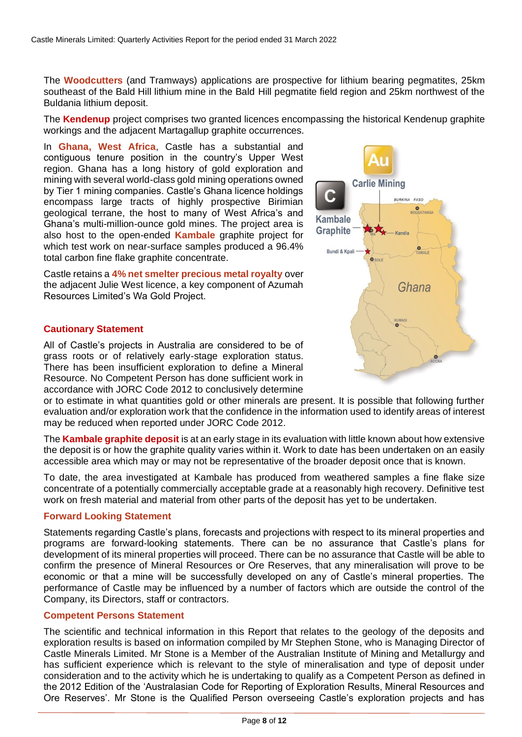The **Woodcutters** (and Tramways) applications are prospective for lithium bearing pegmatites, 25km southeast of the Bald Hill lithium mine in the Bald Hill pegmatite field region and 25km northwest of the Buldania lithium deposit.

The **Kendenup** project comprises two granted licences encompassing the historical Kendenup graphite workings and the adjacent Martagallup graphite occurrences.

In **Ghana, West Africa**, Castle has a substantial and contiguous tenure position in the country's Upper West region. Ghana has a long history of gold exploration and mining with several world-class gold mining operations owned by Tier 1 mining companies. Castle's Ghana licence holdings encompass large tracts of highly prospective Birimian geological terrane, the host to many of West Africa's and Ghana's multi-million-ounce gold mines. The project area is also host to the open-ended **Kambale** graphite project for which test work on near-surface samples produced a 96.4% total carbon fine flake graphite concentrate.

Castle retains a **4% net smelter precious metal royalty** over the adjacent Julie West licence, a key component of Azumah Resources Limited's Wa Gold Project.

#### **Cautionary Statement**

All of Castle's projects in Australia are considered to be of grass roots or of relatively early-stage exploration status. There has been insufficient exploration to define a Mineral Resource. No Competent Person has done sufficient work in accordance with JORC Code 2012 to conclusively determine

or to estimate in what quantities gold or other minerals are present. It is possible that following further evaluation and/or exploration work that the confidence in the information used to identify areas of interest may be reduced when reported under JORC Code 2012.

The **Kambale graphite deposit** is at an early stage in its evaluation with little known about how extensive the deposit is or how the graphite quality varies within it. Work to date has been undertaken on an easily accessible area which may or may not be representative of the broader deposit once that is known.

To date, the area investigated at Kambale has produced from weathered samples a fine flake size concentrate of a potentially commercially acceptable grade at a reasonably high recovery. Definitive test work on fresh material and material from other parts of the deposit has yet to be undertaken.

#### **Forward Looking Statement**

Statements regarding Castle's plans, forecasts and projections with respect to its mineral properties and programs are forward-looking statements. There can be no assurance that Castle's plans for development of its mineral properties will proceed. There can be no assurance that Castle will be able to confirm the presence of Mineral Resources or Ore Reserves, that any mineralisation will prove to be economic or that a mine will be successfully developed on any of Castle's mineral properties. The performance of Castle may be influenced by a number of factors which are outside the control of the Company, its Directors, staff or contractors.

#### **Competent Persons Statement**

The scientific and technical information in this Report that relates to the geology of the deposits and exploration results is based on information compiled by Mr Stephen Stone, who is Managing Director of Castle Minerals Limited. Mr Stone is a Member of the Australian Institute of Mining and Metallurgy and has sufficient experience which is relevant to the style of mineralisation and type of deposit under consideration and to the activity which he is undertaking to qualify as a Competent Person as defined in the 2012 Edition of the 'Australasian Code for Reporting of Exploration Results, Mineral Resources and Ore Reserves'. Mr Stone is the Qualified Person overseeing Castle's exploration projects and has

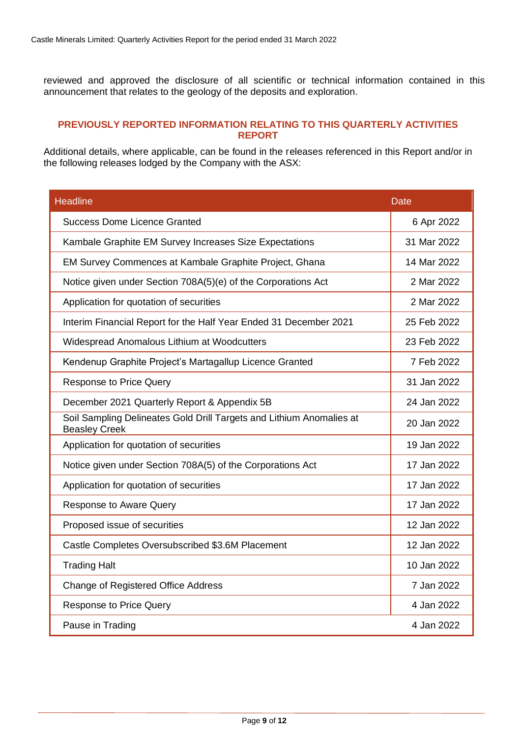reviewed and approved the disclosure of all scientific or technical information contained in this announcement that relates to the geology of the deposits and exploration.

### **PREVIOUSLY REPORTED INFORMATION RELATING TO THIS QUARTERLY ACTIVITIES REPORT**

Additional details, where applicable, can be found in the releases referenced in this Report and/or in the following releases lodged by the Company with the ASX:

| <b>Headline</b>                                                                              | <b>Date</b> |
|----------------------------------------------------------------------------------------------|-------------|
| <b>Success Dome Licence Granted</b>                                                          | 6 Apr 2022  |
| Kambale Graphite EM Survey Increases Size Expectations                                       | 31 Mar 2022 |
| EM Survey Commences at Kambale Graphite Project, Ghana                                       | 14 Mar 2022 |
| Notice given under Section 708A(5)(e) of the Corporations Act                                | 2 Mar 2022  |
| Application for quotation of securities                                                      | 2 Mar 2022  |
| Interim Financial Report for the Half Year Ended 31 December 2021                            | 25 Feb 2022 |
| Widespread Anomalous Lithium at Woodcutters                                                  | 23 Feb 2022 |
| Kendenup Graphite Project's Martagallup Licence Granted                                      | 7 Feb 2022  |
| <b>Response to Price Query</b>                                                               | 31 Jan 2022 |
| December 2021 Quarterly Report & Appendix 5B                                                 | 24 Jan 2022 |
| Soil Sampling Delineates Gold Drill Targets and Lithium Anomalies at<br><b>Beasley Creek</b> | 20 Jan 2022 |
| Application for quotation of securities                                                      | 19 Jan 2022 |
| Notice given under Section 708A(5) of the Corporations Act                                   | 17 Jan 2022 |
| Application for quotation of securities                                                      | 17 Jan 2022 |
| <b>Response to Aware Query</b>                                                               | 17 Jan 2022 |
| Proposed issue of securities                                                                 | 12 Jan 2022 |
| Castle Completes Oversubscribed \$3.6M Placement                                             | 12 Jan 2022 |
| <b>Trading Halt</b>                                                                          | 10 Jan 2022 |
| Change of Registered Office Address                                                          | 7 Jan 2022  |
| <b>Response to Price Query</b>                                                               | 4 Jan 2022  |
| Pause in Trading                                                                             | 4 Jan 2022  |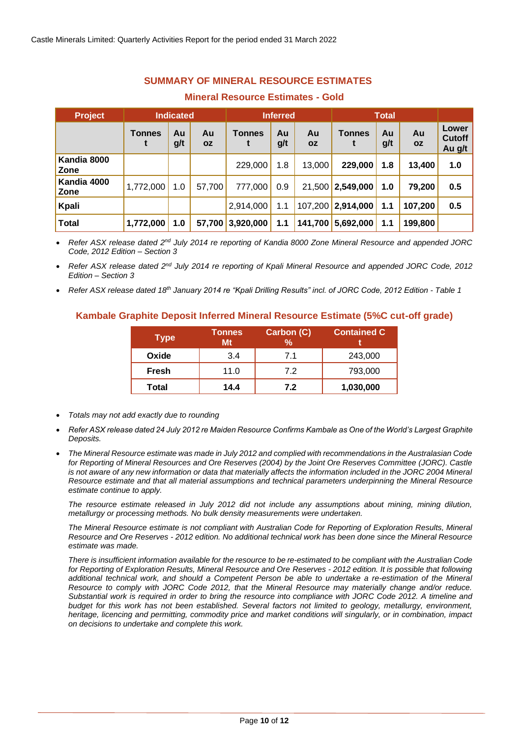## **SUMMARY OF MINERAL RESOURCE ESTIMATES**

#### **Mineral Resource Estimates - Gold**

| <b>Project</b>      | <b>Indicated</b> |           | <b>Inferred</b> |               | <b>Total</b> |                 |                   |           |                 |                           |
|---------------------|------------------|-----------|-----------------|---------------|--------------|-----------------|-------------------|-----------|-----------------|---------------------------|
|                     | <b>Tonnes</b>    | Au<br>g/t | Au<br><b>OZ</b> | <b>Tonnes</b> | Au<br>g/t    | Au<br><b>OZ</b> | <b>Tonnes</b>     | Au<br>g/t | Au<br><b>OZ</b> | Lower<br>Cutoff<br>Au g/t |
| Kandia 8000<br>Zone |                  |           |                 | 229,000       | 1.8          | 13,000          | 229,000           | 1.8       | 13,400          | 1.0                       |
| Kandia 4000<br>Zone | 1,772,000        | 1.0       | 57,700          | 777,000       | 0.9          |                 | 21,500 2,549,000  | 1.0       | 79,200          | 0.5                       |
| Kpali               |                  |           |                 | 2,914,000     | 1.1          |                 | 107,200 2,914,000 | 1.1       | 107,200         | 0.5                       |
| <b>Total</b>        | 1,772,000        | 1.0       | 57,700          | 3,920,000     | 1.1          | 141,700         | 15,692,000        | 1.1       | 199,800         |                           |

• *Refer ASX release dated 2nd July 2014 re reporting of Kandia 8000 Zone Mineral Resource and appended JORC Code, 2012 Edition – Section 3*

• *Refer ASX release dated 2nd July 2014 re reporting of Kpali Mineral Resource and appended JORC Code, 2012 Edition – Section 3*

• *Refer ASX release dated 18th January 2014 re "Kpali Drilling Results" incl. of JORC Code, 2012 Edition - Table 1*

#### **Kambale Graphite Deposit Inferred Mineral Resource Estimate (5%C cut-off grade)**

| <b>Type</b>  | <b>Tonnes</b><br>Mt | Carbon (C)<br>% | <b>Contained C</b> |
|--------------|---------------------|-----------------|--------------------|
| Oxide        | 3.4                 | 7.1             | 243,000            |
| <b>Fresh</b> | 11.0                | 7.2             | 793,000            |
| Total        | 14.4                | 7.2             | 1,030,000          |

- *Totals may not add exactly due to rounding*
- *Refer ASX release dated 24 July 2012 re Maiden Resource Confirms Kambale as One of the World's Largest Graphite Deposits.*
- *The Mineral Resource estimate was made in July 2012 and complied with recommendations in the Australasian Code for Reporting of Mineral Resources and Ore Reserves (2004) by the Joint Ore Reserves Committee (JORC). Castle*  is not aware of any new information or data that materially affects the information included in the JORC 2004 Mineral *Resource estimate and that all material assumptions and technical parameters underpinning the Mineral Resource estimate continue to apply.*

*The resource estimate released in July 2012 did not include any assumptions about mining, mining dilution, metallurgy or processing methods. No bulk density measurements were undertaken.* 

*The Mineral Resource estimate is not compliant with Australian Code for Reporting of Exploration Results, Mineral Resource and Ore Reserves - 2012 edition. No additional technical work has been done since the Mineral Resource estimate was made.* 

*There is insufficient information available for the resource to be re-estimated to be compliant with the Australian Code for Reporting of Exploration Results, Mineral Resource and Ore Reserves - 2012 edition. It is possible that following additional technical work, and should a Competent Person be able to undertake a re-estimation of the Mineral Resource to comply with JORC Code 2012, that the Mineral Resource may materially change and/or reduce. Substantial work is required in order to bring the resource into compliance with JORC Code 2012. A timeline and budget for this work has not been established. Several factors not limited to geology, metallurgy, environment, heritage, licencing and permitting, commodity price and market conditions will singularly, or in combination, impact on decisions to undertake and complete this work.*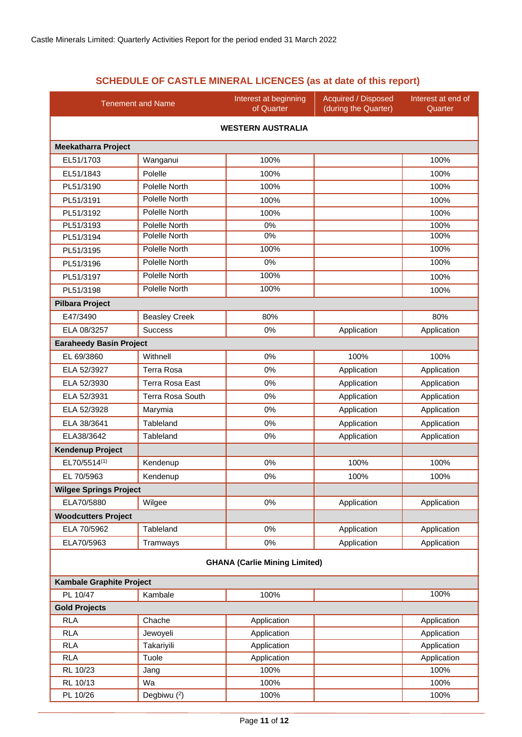## **SCHEDULE OF CASTLE MINERAL LICENCES (as at date of this report)**

| <b>Tenement and Name</b>        |                         | Interest at beginning<br>of Quarter  | <b>Acquired / Disposed</b><br>(during the Quarter) | Interest at end of<br>Quarter |  |  |  |  |
|---------------------------------|-------------------------|--------------------------------------|----------------------------------------------------|-------------------------------|--|--|--|--|
| <b>WESTERN AUSTRALIA</b>        |                         |                                      |                                                    |                               |  |  |  |  |
| <b>Meekatharra Project</b>      |                         |                                      |                                                    |                               |  |  |  |  |
| EL51/1703                       | Wanganui                | 100%                                 |                                                    | 100%                          |  |  |  |  |
| EL51/1843                       | Polelle                 | 100%                                 |                                                    | 100%                          |  |  |  |  |
| PL51/3190                       | Polelle North           | 100%                                 |                                                    | 100%                          |  |  |  |  |
| PL51/3191                       | Polelle North           | 100%                                 |                                                    | 100%                          |  |  |  |  |
| PL51/3192                       | Polelle North           | 100%                                 |                                                    | 100%                          |  |  |  |  |
| PL51/3193                       | Polelle North           | 0%                                   |                                                    | 100%                          |  |  |  |  |
| PL51/3194                       | Polelle North           | 0%                                   |                                                    | 100%                          |  |  |  |  |
| PL51/3195                       | Polelle North           | 100%                                 |                                                    | 100%                          |  |  |  |  |
| PL51/3196                       | Polelle North           | 0%                                   |                                                    | 100%                          |  |  |  |  |
| PL51/3197                       | Polelle North           | 100%                                 |                                                    | 100%                          |  |  |  |  |
| PL51/3198                       | Polelle North           | 100%                                 |                                                    | 100%                          |  |  |  |  |
| <b>Pilbara Project</b>          |                         |                                      |                                                    |                               |  |  |  |  |
| E47/3490                        | <b>Beasley Creek</b>    | 80%                                  |                                                    | 80%                           |  |  |  |  |
| ELA 08/3257                     | <b>Success</b>          | 0%                                   | Application                                        | Application                   |  |  |  |  |
| <b>Earaheedy Basin Project</b>  |                         |                                      |                                                    |                               |  |  |  |  |
| EL 69/3860                      | Withnell                | 0%                                   | 100%                                               | 100%                          |  |  |  |  |
| ELA 52/3927                     | <b>Terra Rosa</b>       | 0%                                   | Application                                        | Application                   |  |  |  |  |
| ELA 52/3930                     | <b>Terra Rosa East</b>  | 0%                                   | Application                                        | Application                   |  |  |  |  |
| ELA 52/3931                     | <b>Terra Rosa South</b> | 0%                                   | Application                                        | Application                   |  |  |  |  |
| ELA 52/3928                     | Marymia                 | 0%                                   | Application                                        | Application                   |  |  |  |  |
| ELA 38/3641                     | Tableland               | 0%                                   | Application                                        | Application                   |  |  |  |  |
| ELA38/3642                      | Tableland               | 0%                                   | Application                                        | Application                   |  |  |  |  |
| <b>Kendenup Project</b>         |                         |                                      |                                                    |                               |  |  |  |  |
| EL70/5514(1)                    | Kendenup                | 0%                                   | 100%                                               | 100%                          |  |  |  |  |
| EL 70/5963                      |                         | 0%                                   | 100%                                               | 100%                          |  |  |  |  |
|                                 | Kendenup                |                                      |                                                    |                               |  |  |  |  |
| <b>Wilgee Springs Project</b>   |                         |                                      |                                                    |                               |  |  |  |  |
| ELA70/5880                      | Wilgee                  | 0%                                   | Application                                        | Application                   |  |  |  |  |
| <b>Woodcutters Project</b>      |                         |                                      |                                                    |                               |  |  |  |  |
| ELA 70/5962                     | Tableland               | 0%                                   | Application                                        | Application                   |  |  |  |  |
| ELA70/5963                      | Tramways                | 0%                                   | Application                                        | Application                   |  |  |  |  |
|                                 |                         | <b>GHANA (Carlie Mining Limited)</b> |                                                    |                               |  |  |  |  |
| <b>Kambale Graphite Project</b> |                         |                                      |                                                    |                               |  |  |  |  |
| PL 10/47                        | Kambale                 | 100%                                 |                                                    | 100%                          |  |  |  |  |
| <b>Gold Projects</b>            |                         |                                      |                                                    |                               |  |  |  |  |
| <b>RLA</b>                      | Chache                  | Application                          |                                                    | Application                   |  |  |  |  |
| <b>RLA</b>                      | Jewoyeli                | Application                          |                                                    | Application                   |  |  |  |  |
| <b>RLA</b>                      | Takariyili              | Application                          |                                                    | Application                   |  |  |  |  |
| <b>RLA</b>                      | Tuole                   | Application                          |                                                    | Application                   |  |  |  |  |
| RL 10/23                        | Jang                    | 100%                                 |                                                    | 100%                          |  |  |  |  |
| RL 10/13                        | Wa                      | 100%                                 |                                                    | 100%                          |  |  |  |  |
| PL 10/26                        | Degbiwu (2)             | 100%                                 |                                                    | 100%                          |  |  |  |  |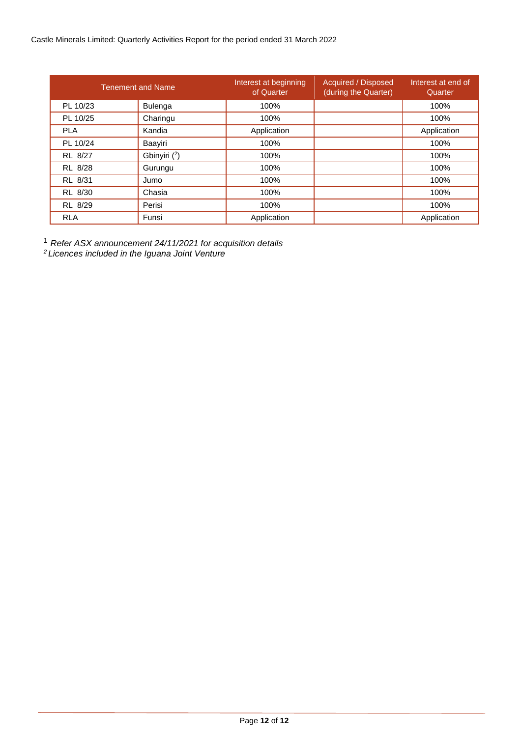#### Castle Minerals Limited: Quarterly Activities Report for the period ended 31 March 2022

|            | <b>Tenement and Name</b> | Interest at beginning<br>of Quarter | <b>Acquired / Disposed</b><br>(during the Quarter) | Interest at end of<br>Quarter |
|------------|--------------------------|-------------------------------------|----------------------------------------------------|-------------------------------|
| PL 10/23   | <b>Bulenga</b>           | 100%                                |                                                    | 100%                          |
| PL 10/25   | Charingu                 | 100%                                |                                                    | 100%                          |
| <b>PLA</b> | Kandia                   | Application                         |                                                    | Application                   |
| PL 10/24   | Baayiri                  | 100%                                |                                                    | 100%                          |
| RL 8/27    | Gbinyiri (2)             | 100%                                |                                                    | 100%                          |
| RL 8/28    | Gurungu                  | 100%                                |                                                    | 100%                          |
| RL 8/31    | Jumo                     | 100%                                |                                                    | 100%                          |
| RL 8/30    | Chasia                   | 100%                                |                                                    | 100%                          |
| RL 8/29    | Perisi                   | 100%                                |                                                    | 100%                          |
| <b>RLA</b> | Funsi                    | Application                         |                                                    | Application                   |

<sup>1</sup> *Refer ASX announcement 24/11/2021 for acquisition details*

*<sup>2</sup>Licences included in the Iguana Joint Venture*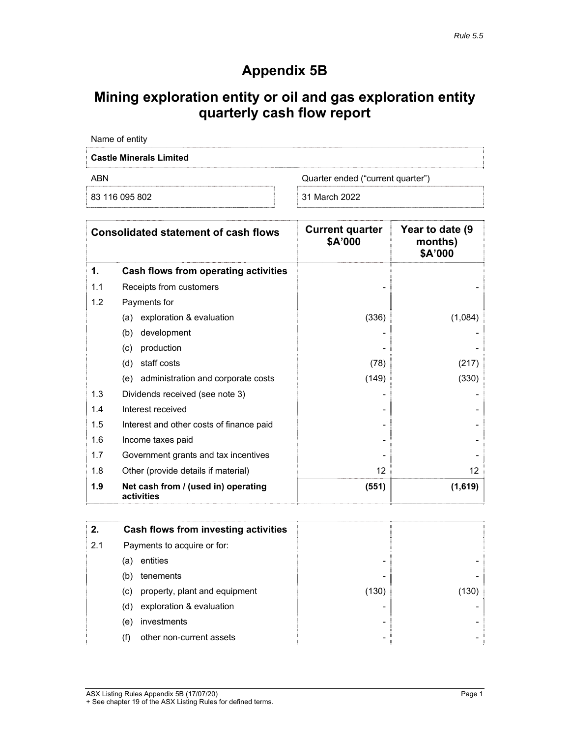# **Appendix 5B**

# **Mining exploration entity or oil and gas exploration entity quarterly cash flow report**

| Name of entity                 |                                   |
|--------------------------------|-----------------------------------|
| <b>Castle Minerals Limited</b> |                                   |
| ARN                            | Quarter ended ("current quarter") |
| 83 116 095 802                 | 31 March 2022                     |

|     | <b>Consolidated statement of cash flows</b>       | <b>Current quarter</b><br>\$A'000 | Year to date (9<br>months)<br>\$A'000 |
|-----|---------------------------------------------------|-----------------------------------|---------------------------------------|
| 1.  | Cash flows from operating activities              |                                   |                                       |
| 1.1 | Receipts from customers                           |                                   |                                       |
| 1.2 | Payments for                                      |                                   |                                       |
|     | exploration & evaluation<br>(a)                   | (336)                             | (1,084)                               |
|     | development<br>(b)                                |                                   |                                       |
|     | production<br>(c)                                 |                                   |                                       |
|     | staff costs<br>(d)                                | (78)                              | (217)                                 |
|     | (e) administration and corporate costs            | (149)                             | (330)                                 |
| 1.3 | Dividends received (see note 3)                   |                                   |                                       |
| 1.4 | Interest received                                 |                                   |                                       |
| 1.5 | Interest and other costs of finance paid          |                                   |                                       |
| 1.6 | Income taxes paid                                 |                                   |                                       |
| 1.7 | Government grants and tax incentives              |                                   |                                       |
| 1.8 | Other (provide details if material)               | 12 <sup>°</sup>                   | $12 \overline{ }$                     |
| 1.9 | Net cash from / (used in) operating<br>activities | (551)                             | (1,619)                               |

| 2.  | Cash flows from investing activities |       |      |
|-----|--------------------------------------|-------|------|
| 2.1 | Payments to acquire or for:          |       |      |
|     | entities<br>(a)                      |       |      |
|     | tenements<br>(b)                     | -     |      |
|     | property, plant and equipment<br>(C) | (130) | 130) |
|     | exploration & evaluation<br>(d)      |       |      |
|     | investments<br>(e)                   |       |      |
|     | other non-current assets<br>(f)      |       |      |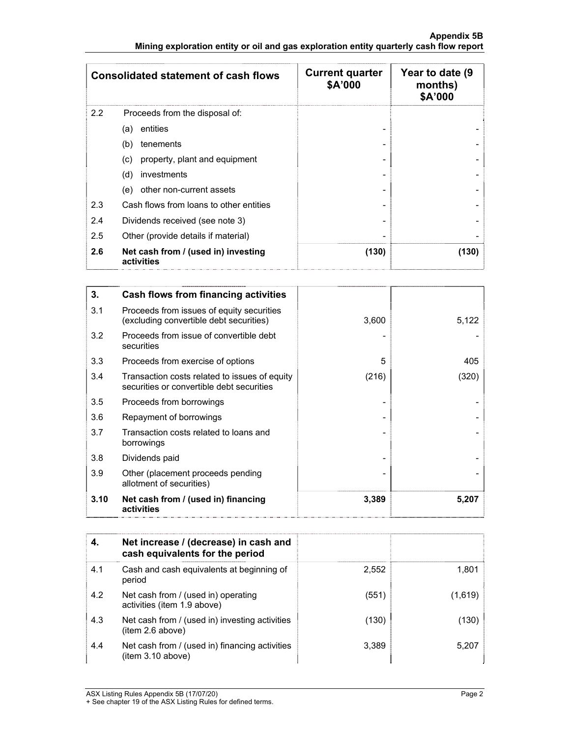#### **Appendix 5B Mining exploration entity or oil and gas exploration entity quarterly cash flow report**

|     | <b>Consolidated statement of cash flows</b>       | <b>Current quarter</b><br>\$A'000 | Year to date (9)<br>months)<br>\$A'000 |
|-----|---------------------------------------------------|-----------------------------------|----------------------------------------|
| 2.2 | Proceeds from the disposal of:                    |                                   |                                        |
|     | entities<br>(a)                                   |                                   |                                        |
|     | tenements<br>(b)                                  |                                   |                                        |
|     | property, plant and equipment<br>(c)              |                                   |                                        |
|     | (d)<br>investments                                |                                   |                                        |
|     | other non-current assets<br>(e)                   |                                   |                                        |
| 2.3 | Cash flows from loans to other entities           |                                   |                                        |
| 2.4 | Dividends received (see note 3)                   |                                   |                                        |
| 2.5 | Other (provide details if material)               |                                   |                                        |
| 2.6 | Net cash from / (used in) investing<br>activities | (130)                             | (130)                                  |

| 3.   | Cash flows from financing activities                                                       |       |       |
|------|--------------------------------------------------------------------------------------------|-------|-------|
| 3.1  | Proceeds from issues of equity securities<br>(excluding convertible debt securities)       | 3,600 | 5,122 |
| 3.2  | Proceeds from issue of convertible debt<br>securities                                      |       |       |
| 3.3  | Proceeds from exercise of options                                                          | 5     | 405   |
| 3.4  | Transaction costs related to issues of equity<br>securities or convertible debt securities | (216) | (320) |
| 3.5  | Proceeds from borrowings                                                                   |       |       |
| 3.6  | Repayment of borrowings                                                                    |       |       |
| 3.7  | Transaction costs related to loans and<br>borrowings                                       |       |       |
| 3.8  | Dividends paid                                                                             |       |       |
| 3.9  | Other (placement proceeds pending<br>allotment of securities)                              |       |       |
| 3.10 | Net cash from / (used in) financing<br>activities                                          | 3,389 | 5,207 |

| 4.  | Net increase / (decrease) in cash and<br>cash equivalents for the period |       |         |
|-----|--------------------------------------------------------------------------|-------|---------|
| 4.1 | Cash and cash equivalents at beginning of<br>period                      | 2.552 | 1,801   |
| 4.2 | Net cash from / (used in) operating<br>activities (item 1.9 above)       | (551) | (1,619) |
| 4.3 | Net cash from / (used in) investing activities<br>(item 2.6 above)       | (130) | (130)   |
| 4.4 | Net cash from / (used in) financing activities<br>(item 3.10 above)      | 3.389 | 5.207   |

ASX Listing Rules Appendix 5B (17/07/20) Page 2

<sup>+</sup> See chapter 19 of the ASX Listing Rules for defined terms.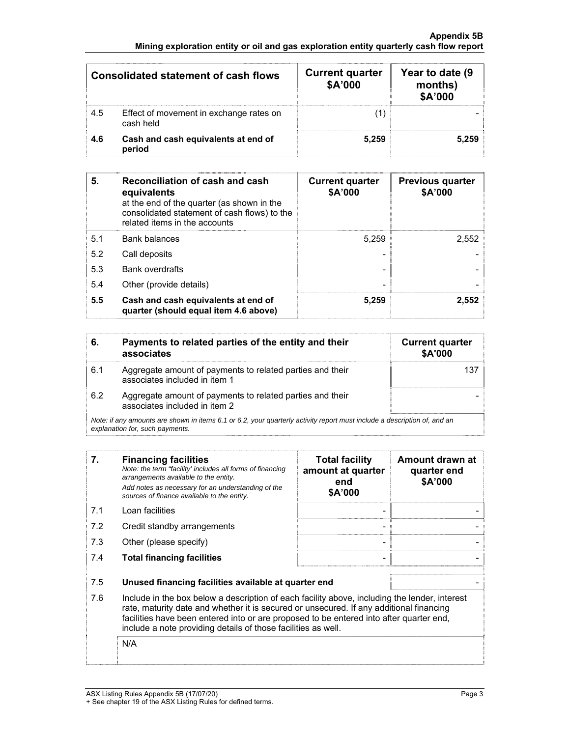#### **Appendix 5B Mining exploration entity or oil and gas exploration entity quarterly cash flow report**

| Consolidated statement of cash flows |                                                      | <b>Current quarter</b><br>\$A'000 | Year to date (9)<br>months)<br>\$A'000 |
|--------------------------------------|------------------------------------------------------|-----------------------------------|----------------------------------------|
| 4.5                                  | Effect of movement in exchange rates on<br>cash held |                                   |                                        |
| 4.6                                  | Cash and cash equivalents at end of<br>period        | 5.259                             | 5.259                                  |

| 5.  | Reconciliation of cash and cash<br>equivalents<br>at the end of the quarter (as shown in the<br>consolidated statement of cash flows) to the<br>related items in the accounts | <b>Current quarter</b><br>\$A'000 | <b>Previous quarter</b><br>\$A'000 |
|-----|-------------------------------------------------------------------------------------------------------------------------------------------------------------------------------|-----------------------------------|------------------------------------|
| 5.1 | <b>Bank balances</b>                                                                                                                                                          | 5,259                             | 2,552                              |
| 5.2 | Call deposits                                                                                                                                                                 |                                   |                                    |
| 5.3 | Bank overdrafts                                                                                                                                                               |                                   |                                    |
| 5.4 | Other (provide details)                                                                                                                                                       |                                   |                                    |
| 5.5 | Cash and cash equivalents at end of<br>quarter (should equal item 4.6 above)                                                                                                  | 5,259                             | 2,552                              |

| 6.  | Payments to related parties of the entity and their<br>associates                                                                                           | <b>Current quarter</b><br>\$A'000 |
|-----|-------------------------------------------------------------------------------------------------------------------------------------------------------------|-----------------------------------|
| 6.1 | Aggregate amount of payments to related parties and their<br>associates included in item 1                                                                  |                                   |
| 6.2 | Aggregate amount of payments to related parties and their<br>associates included in item 2                                                                  |                                   |
|     | Note: if any amounts are shown in items 6.1 or 6.2, your quarterly activity report must include a description of, and an<br>explanation for, such payments. |                                   |

**7. Financing facilities** *Note: the term "facility' includes all forms of financing arrangements available to the entity. Add notes as necessary for an understanding of the sources of finance available to the entity.* **Total facility amount at quarter end \$A'000 Amount drawn at quarter end \$A'000**  7.1 Loan facilities - - 7.2 Credit standby arrangements and the state of the state of the state of the state of the state of the state of the state of the state of the state of the state of the state of the state of the state of the state of the 7.3 Other (please specify) - - 7.4 **Total financing facilities** - - 7.5 **Unused financing facilities available at quarter end** - 7.6 Include in the box below a description of each facility above, including the lender, interest rate, maturity date and whether it is secured or unsecured. If any additional financing facilities have been entered into or are proposed to be entered into after quarter end, include a note providing details of those facilities as well.

N/A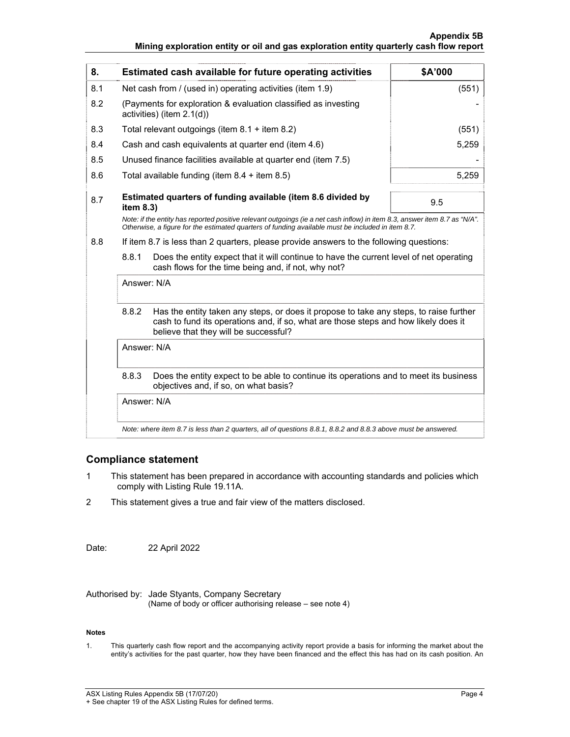#### **Appendix 5B Mining exploration entity or oil and gas exploration entity quarterly cash flow report**

| 8.                                                                                                                                                                                                                              | Estimated cash available for future operating activities                                                                                                                                                                        | \$A'000 |  |
|---------------------------------------------------------------------------------------------------------------------------------------------------------------------------------------------------------------------------------|---------------------------------------------------------------------------------------------------------------------------------------------------------------------------------------------------------------------------------|---------|--|
| 8.1                                                                                                                                                                                                                             | Net cash from / (used in) operating activities (item 1.9)                                                                                                                                                                       | (551)   |  |
| 8.2                                                                                                                                                                                                                             | (Payments for exploration & evaluation classified as investing<br>activities) (item 2.1(d))                                                                                                                                     |         |  |
| 8.3                                                                                                                                                                                                                             | Total relevant outgoings (item $8.1 +$ item $8.2$ )                                                                                                                                                                             | (551)   |  |
| 8.4                                                                                                                                                                                                                             | Cash and cash equivalents at quarter end (item 4.6)                                                                                                                                                                             | 5,259   |  |
| 8.5                                                                                                                                                                                                                             | Unused finance facilities available at quarter end (item 7.5)                                                                                                                                                                   |         |  |
| 8.6                                                                                                                                                                                                                             | Total available funding (item $8.4 +$ item $8.5$ )                                                                                                                                                                              | 5,259   |  |
| 8.7                                                                                                                                                                                                                             | Estimated quarters of funding available (item 8.6 divided by<br>item 8.3)                                                                                                                                                       | 9.5     |  |
| Note: if the entity has reported positive relevant outgoings (ie a net cash inflow) in item 8.3, answer item 8.7 as "N/A".<br>Otherwise, a figure for the estimated quarters of funding available must be included in item 8.7. |                                                                                                                                                                                                                                 |         |  |
| 8.8                                                                                                                                                                                                                             | If item 8.7 is less than 2 quarters, please provide answers to the following questions:                                                                                                                                         |         |  |
|                                                                                                                                                                                                                                 | 8.8.1<br>Does the entity expect that it will continue to have the current level of net operating<br>cash flows for the time being and, if not, why not?                                                                         |         |  |
|                                                                                                                                                                                                                                 | Answer: N/A                                                                                                                                                                                                                     |         |  |
|                                                                                                                                                                                                                                 | 8.8.2<br>Has the entity taken any steps, or does it propose to take any steps, to raise further<br>cash to fund its operations and, if so, what are those steps and how likely does it<br>believe that they will be successful? |         |  |
|                                                                                                                                                                                                                                 | Answer: N/A                                                                                                                                                                                                                     |         |  |
|                                                                                                                                                                                                                                 | 8.8.3<br>Does the entity expect to be able to continue its operations and to meet its business<br>objectives and, if so, on what basis?                                                                                         |         |  |
|                                                                                                                                                                                                                                 | Answer: N/A                                                                                                                                                                                                                     |         |  |
|                                                                                                                                                                                                                                 | Note: where item 8.7 is less than 2 quarters, all of questions 8.8.1, 8.8.2 and 8.8.3 above must be answered.                                                                                                                   |         |  |

#### **Compliance statement**

- 1 This statement has been prepared in accordance with accounting standards and policies which comply with Listing Rule 19.11A.
- 2 This statement gives a true and fair view of the matters disclosed.

Date: 22 April 2022

Authorised by: Jade Styants, Company Secretary (Name of body or officer authorising release – see note 4)

#### **Notes**

1. This quarterly cash flow report and the accompanying activity report provide a basis for informing the market about the entity's activities for the past quarter, how they have been financed and the effect this has had on its cash position. An

ASX Listing Rules Appendix 5B (17/07/20) example of the state of the Page 4 + See chapter 19 of the ASX Listing Rules for defined terms.